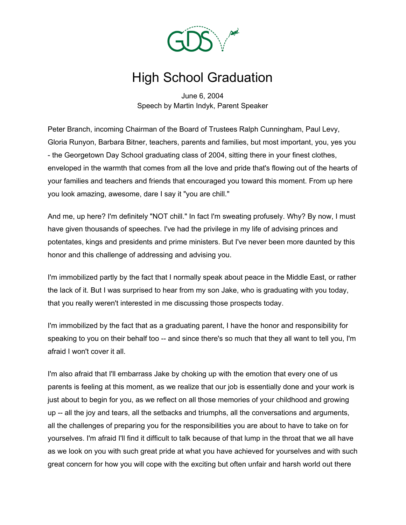

## High School Graduation

June 6, 2004 Speech by Martin Indyk, Parent Speaker

Peter Branch, incoming Chairman of the Board of Trustees Ralph Cunningham, Paul Levy, Gloria Runyon, Barbara Bitner, teachers, parents and families, but most important, you, yes you - the Georgetown Day School graduating class of 2004, sitting there in your finest clothes, enveloped in the warmth that comes from all the love and pride that's flowing out of the hearts of your families and teachers and friends that encouraged you toward this moment. From up here you look amazing, awesome, dare I say it "you are chill."

And me, up here? I'm definitely "NOT chill." In fact I'm sweating profusely. Why? By now, I must have given thousands of speeches. I've had the privilege in my life of advising princes and potentates, kings and presidents and prime ministers. But I've never been more daunted by this honor and this challenge of addressing and advising you.

I'm immobilized partly by the fact that I normally speak about peace in the Middle East, or rather the lack of it. But I was surprised to hear from my son Jake, who is graduating with you today, that you really weren't interested in me discussing those prospects today.

I'm immobilized by the fact that as a graduating parent, I have the honor and responsibility for speaking to you on their behalf too -- and since there's so much that they all want to tell you, I'm afraid I won't cover it all.

I'm also afraid that I'll embarrass Jake by choking up with the emotion that every one of us parents is feeling at this moment, as we realize that our job is essentially done and your work is just about to begin for you, as we reflect on all those memories of your childhood and growing up -- all the joy and tears, all the setbacks and triumphs, all the conversations and arguments, all the challenges of preparing you for the responsibilities you are about to have to take on for yourselves. I'm afraid I'll find it difficult to talk because of that lump in the throat that we all have as we look on you with such great pride at what you have achieved for yourselves and with such great concern for how you will cope with the exciting but often unfair and harsh world out there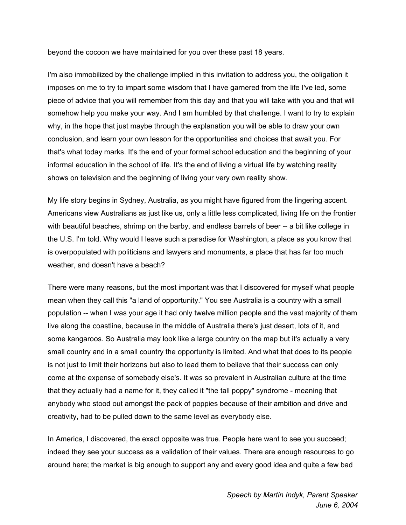beyond the cocoon we have maintained for you over these past 18 years.

I'm also immobilized by the challenge implied in this invitation to address you, the obligation it imposes on me to try to impart some wisdom that I have garnered from the life I've led, some piece of advice that you will remember from this day and that you will take with you and that will somehow help you make your way. And I am humbled by that challenge. I want to try to explain why, in the hope that just maybe through the explanation you will be able to draw your own conclusion, and learn your own lesson for the opportunities and choices that await you. For that's what today marks. It's the end of your formal school education and the beginning of your informal education in the school of life. It's the end of living a virtual life by watching reality shows on television and the beginning of living your very own reality show.

My life story begins in Sydney, Australia, as you might have figured from the lingering accent. Americans view Australians as just like us, only a little less complicated, living life on the frontier with beautiful beaches, shrimp on the barby, and endless barrels of beer -- a bit like college in the U.S. I'm told. Why would I leave such a paradise for Washington, a place as you know that is overpopulated with politicians and lawyers and monuments, a place that has far too much weather, and doesn't have a beach?

There were many reasons, but the most important was that I discovered for myself what people mean when they call this "a land of opportunity." You see Australia is a country with a small population -- when I was your age it had only twelve million people and the vast majority of them live along the coastline, because in the middle of Australia there's just desert, lots of it, and some kangaroos. So Australia may look like a large country on the map but it's actually a very small country and in a small country the opportunity is limited. And what that does to its people is not just to limit their horizons but also to lead them to believe that their success can only come at the expense of somebody else's. It was so prevalent in Australian culture at the time that they actually had a name for it, they called it "the tall poppy" syndrome - meaning that anybody who stood out amongst the pack of poppies because of their ambition and drive and creativity, had to be pulled down to the same level as everybody else.

In America, I discovered, the exact opposite was true. People here want to see you succeed; indeed they see your success as a validation of their values. There are enough resources to go around here; the market is big enough to support any and every good idea and quite a few bad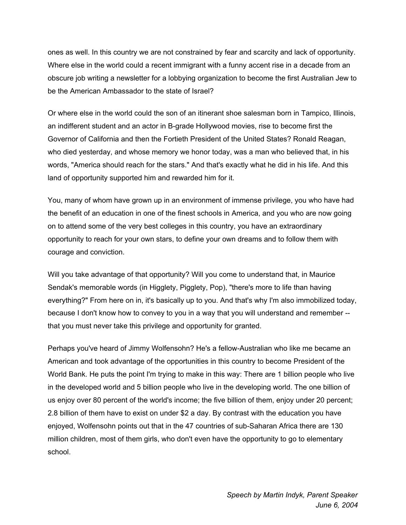ones as well. In this country we are not constrained by fear and scarcity and lack of opportunity. Where else in the world could a recent immigrant with a funny accent rise in a decade from an obscure job writing a newsletter for a lobbying organization to become the first Australian Jew to be the American Ambassador to the state of Israel?

Or where else in the world could the son of an itinerant shoe salesman born in Tampico, Illinois, an indifferent student and an actor in B-grade Hollywood movies, rise to become first the Governor of California and then the Fortieth President of the United States? Ronald Reagan, who died yesterday, and whose memory we honor today, was a man who believed that, in his words, "America should reach for the stars." And that's exactly what he did in his life. And this land of opportunity supported him and rewarded him for it.

You, many of whom have grown up in an environment of immense privilege, you who have had the benefit of an education in one of the finest schools in America, and you who are now going on to attend some of the very best colleges in this country, you have an extraordinary opportunity to reach for your own stars, to define your own dreams and to follow them with courage and conviction.

Will you take advantage of that opportunity? Will you come to understand that, in Maurice Sendak's memorable words (in Higglety, Pigglety, Pop), "there's more to life than having everything?" From here on in, it's basically up to you. And that's why I'm also immobilized today, because I don't know how to convey to you in a way that you will understand and remember - that you must never take this privilege and opportunity for granted.

Perhaps you've heard of Jimmy Wolfensohn? He's a fellow-Australian who like me became an American and took advantage of the opportunities in this country to become President of the World Bank. He puts the point I'm trying to make in this way: There are 1 billion people who live in the developed world and 5 billion people who live in the developing world. The one billion of us enjoy over 80 percent of the world's income; the five billion of them, enjoy under 20 percent; 2.8 billion of them have to exist on under \$2 a day. By contrast with the education you have enjoyed, Wolfensohn points out that in the 47 countries of sub-Saharan Africa there are 130 million children, most of them girls, who don't even have the opportunity to go to elementary school.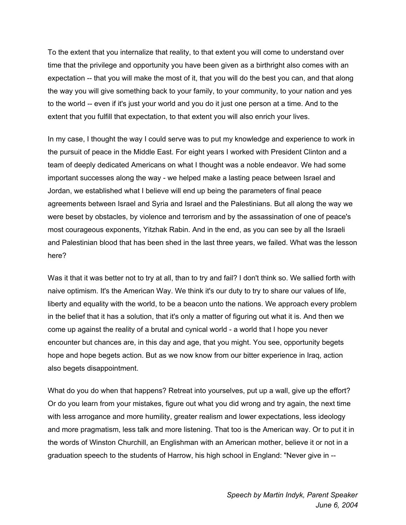To the extent that you internalize that reality, to that extent you will come to understand over time that the privilege and opportunity you have been given as a birthright also comes with an expectation -- that you will make the most of it, that you will do the best you can, and that along the way you will give something back to your family, to your community, to your nation and yes to the world -- even if it's just your world and you do it just one person at a time. And to the extent that you fulfill that expectation, to that extent you will also enrich your lives.

In my case, I thought the way I could serve was to put my knowledge and experience to work in the pursuit of peace in the Middle East. For eight years I worked with President Clinton and a team of deeply dedicated Americans on what I thought was a noble endeavor. We had some important successes along the way - we helped make a lasting peace between Israel and Jordan, we established what I believe will end up being the parameters of final peace agreements between Israel and Syria and Israel and the Palestinians. But all along the way we were beset by obstacles, by violence and terrorism and by the assassination of one of peace's most courageous exponents, Yitzhak Rabin. And in the end, as you can see by all the Israeli and Palestinian blood that has been shed in the last three years, we failed. What was the lesson here?

Was it that it was better not to try at all, than to try and fail? I don't think so. We sallied forth with naive optimism. It's the American Way. We think it's our duty to try to share our values of life, liberty and equality with the world, to be a beacon unto the nations. We approach every problem in the belief that it has a solution, that it's only a matter of figuring out what it is. And then we come up against the reality of a brutal and cynical world - a world that I hope you never encounter but chances are, in this day and age, that you might. You see, opportunity begets hope and hope begets action. But as we now know from our bitter experience in Iraq, action also begets disappointment.

What do you do when that happens? Retreat into yourselves, put up a wall, give up the effort? Or do you learn from your mistakes, figure out what you did wrong and try again, the next time with less arrogance and more humility, greater realism and lower expectations, less ideology and more pragmatism, less talk and more listening. That too is the American way. Or to put it in the words of Winston Churchill, an Englishman with an American mother, believe it or not in a graduation speech to the students of Harrow, his high school in England: "Never give in --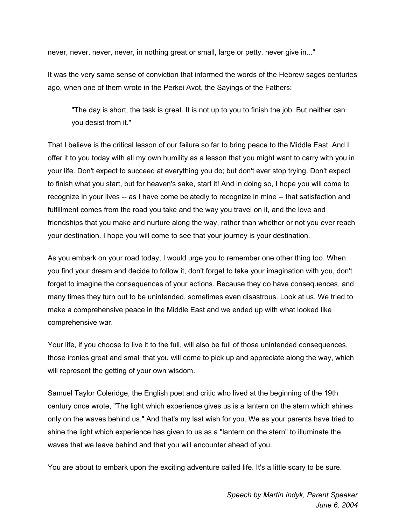never, never, never, never, in nothing great or small, large or petty, never give in..."

It was the very same sense of conviction that informed the words of the Hebrew sages centuries ago, when one of them wrote in the Perkei Avot, the Sayings of the Fathers:

"The day is short, the task is great. It is not up to you to finish the job. But neither can you desist from it."

That I believe is the critical lesson of our failure so far to bring peace to the Middle East. And I offer it to you today with all my own humility as a lesson that you might want to carry with you in your life. Don't expect to succeed at everything you do; but don't ever stop trying. Don't expect to finish what you start, but for heaven's sake, start it! And in doing so, I hope you will come to recognize in your lives -- as I have come belatedly to recognize in mine -- that satisfaction and fulfillment comes from the road you take and the way you travel on it, and the love and friendships that you make and nurture along the way, rather than whether or not you ever reach your destination. I hope you will come to see that your journey is your destination.

As you embark on your road today, I would urge you to remember one other thing too. When you find your dream and decide to follow it, don't forget to take your imagination with you, don't forget to imagine the consequences of your actions. Because they do have consequences, and many times they turn out to be unintended, sometimes even disastrous. Look at us. We tried to make a comprehensive peace in the Middle East and we ended up with what looked like comprehensive war.

Your life, if you choose to live it to the full, will also be full of those unintended consequences, those ironies great and small that you will come to pick up and appreciate along the way, which will represent the getting of your own wisdom.

Samuel Taylor Coleridge, the English poet and critic who lived at the beginning of the 19th century once wrote, "The light which experience gives us is a lantern on the stern which shines only on the waves behind us." And that's my last wish for you. We as your parents have tried to shine the light which experience has given to us as a "lantern on the stern" to illuminate the waves that we leave behind and that you will encounter ahead of you.

You are about to embark upon the exciting adventure called life. It's a little scary to be sure.